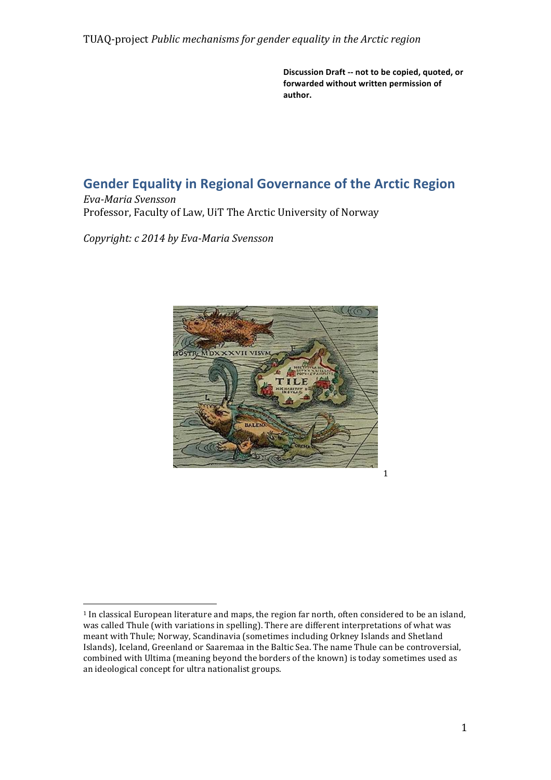Discussion Draft -- not to be copied, quoted, or forwarded without written permission of **author.**

# **Gender Equality in Regional Governance of the Arctic Region**

*Eva-Maria Svensson* Professor, Faculty of Law, UiT The Arctic University of Norway

*Copyright: c 2014 by Eva-Maria Svensson*



 <sup>1</sup> In classical European literature and maps, the region far north, often considered to be an island, was called Thule (with variations in spelling). There are different interpretations of what was meant with Thule; Norway, Scandinavia (sometimes including Orkney Islands and Shetland Islands), Iceland, Greenland or Saaremaa in the Baltic Sea. The name Thule can be controversial, combined with Ultima (meaning beyond the borders of the known) is today sometimes used as an ideological concept for ultra nationalist groups.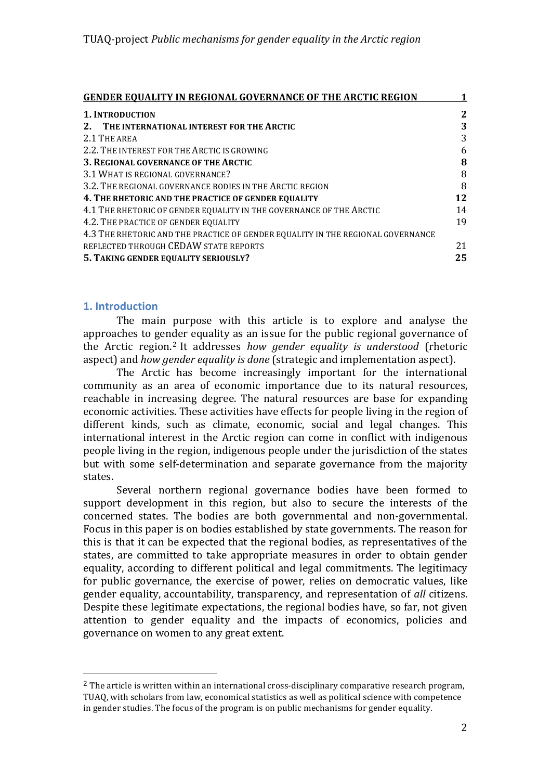| GENDER EQUALITY IN REGIONAL GOVERNANCE OF THE ARCTIC REGION                     |    |
|---------------------------------------------------------------------------------|----|
| <b>1. INTRODUCTION</b>                                                          | 2  |
| 2. THE INTERNATIONAL INTEREST FOR THE ARCTIC                                    | 3  |
| 2.1 THE AREA                                                                    | 3  |
| 2.2. THE INTEREST FOR THE ARCTIC IS GROWING                                     | 6  |
| 3. REGIONAL GOVERNANCE OF THE ARCTIC                                            | 8  |
| 3.1 WHAT IS REGIONAL GOVERNANCE?                                                | 8  |
| 3.2. THE REGIONAL GOVERNANCE BODIES IN THE ARCTIC REGION                        | 8  |
| 4. THE RHETORIC AND THE PRACTICE OF GENDER EQUALITY                             | 12 |
| 4.1 THE RHETORIC OF GENDER EQUALITY IN THE GOVERNANCE OF THE ARCTIC             | 14 |
| 4.2. THE PRACTICE OF GENDER EQUALITY                                            | 19 |
| 4.3 THE RHETORIC AND THE PRACTICE OF GENDER EQUALITY IN THE REGIONAL GOVERNANCE |    |
| REFLECTED THROUGH CEDAW STATE REPORTS                                           | 21 |
| 5. TAKING GENDER EQUALITY SERIOUSLY?                                            | 25 |

## **1. Introduction**

 

The main purpose with this article is to explore and analyse the approaches to gender equality as an issue for the public regional governance of the Arctic region.<sup>2</sup> It addresses *how gender equality is understood* (rhetoric aspect) and *how gender equality is done* (strategic and implementation aspect).

The Arctic has become increasingly important for the international community as an area of economic importance due to its natural resources, reachable in increasing degree. The natural resources are base for expanding economic activities. These activities have effects for people living in the region of different kinds, such as climate, economic, social and legal changes. This international interest in the Arctic region can come in conflict with indigenous people living in the region, indigenous people under the jurisdiction of the states but with some self-determination and separate governance from the majority states. 

Several northern regional governance bodies have been formed to support development in this region, but also to secure the interests of the concerned states. The bodies are both governmental and non-governmental. Focus in this paper is on bodies established by state governments. The reason for this is that it can be expected that the regional bodies, as representatives of the states, are committed to take appropriate measures in order to obtain gender equality, according to different political and legal commitments. The legitimacy for public governance, the exercise of power, relies on democratic values, like gender equality, accountability, transparency, and representation of *all* citizens. Despite these legitimate expectations, the regional bodies have, so far, not given attention to gender equality and the impacts of economics, policies and governance on women to any great extent.

 $<sup>2</sup>$  The article is written within an international cross-disciplinary comparative research program,</sup> TUAQ, with scholars from law, economical statistics as well as political science with competence in gender studies. The focus of the program is on public mechanisms for gender equality.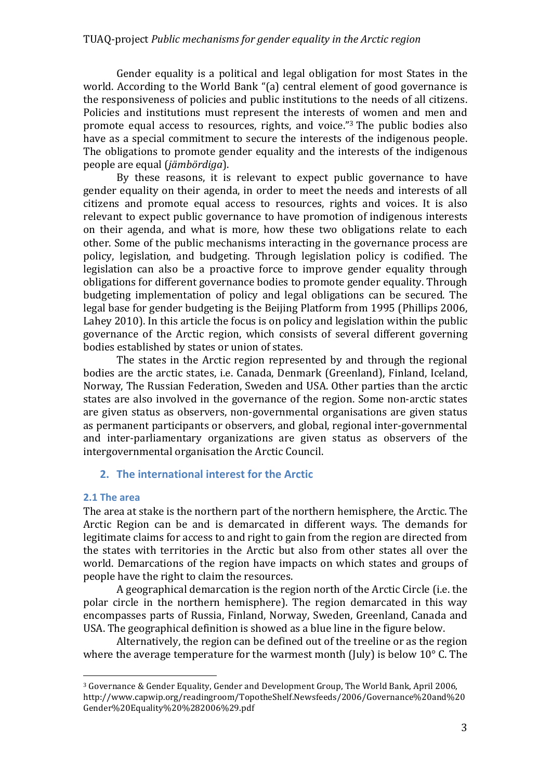Gender equality is a political and legal obligation for most States in the world. According to the World Bank "(a) central element of good governance is the responsiveness of policies and public institutions to the needs of all citizens. Policies and institutions must represent the interests of women and men and promote equal access to resources, rights, and voice."<sup>3</sup> The public bodies also have as a special commitment to secure the interests of the indigenous people. The obligations to promote gender equality and the interests of the indigenous people are equal (*jämbördiga*).

By these reasons, it is relevant to expect public governance to have gender equality on their agenda, in order to meet the needs and interests of all citizens and promote equal access to resources, rights and voices. It is also relevant to expect public governance to have promotion of indigenous interests on their agenda, and what is more, how these two obligations relate to each other. Some of the public mechanisms interacting in the governance process are policy, legislation, and budgeting. Through legislation policy is codified. The legislation can also be a proactive force to improve gender equality through obligations for different governance bodies to promote gender equality. Through budgeting implementation of policy and legal obligations can be secured. The legal base for gender budgeting is the Beijing Platform from 1995 (Phillips 2006, Lahey 2010). In this article the focus is on policy and legislation within the public governance of the Arctic region, which consists of several different governing bodies established by states or union of states.

The states in the Arctic region represented by and through the regional bodies are the arctic states, i.e. Canada, Denmark (Greenland), Finland, Iceland, Norway, The Russian Federation, Sweden and USA. Other parties than the arctic states are also involved in the governance of the region. Some non-arctic states are given status as observers, non-governmental organisations are given status as permanent participants or observers, and global, regional inter-governmental and inter-parliamentary organizations are given status as observers of the intergovernmental organisation the Arctic Council.

# **2.** The international interest for the Arctic

#### **2.1 The area**

 

The area at stake is the northern part of the northern hemisphere, the Arctic. The Arctic Region can be and is demarcated in different ways. The demands for legitimate claims for access to and right to gain from the region are directed from the states with territories in the Arctic but also from other states all over the world. Demarcations of the region have impacts on which states and groups of people have the right to claim the resources.

A geographical demarcation is the region north of the Arctic Circle (i.e. the polar circle in the northern hemisphere). The region demarcated in this way encompasses parts of Russia, Finland, Norway, Sweden, Greenland, Canada and USA. The geographical definition is showed as a blue line in the figure below.

Alternatively, the region can be defined out of the treeline or as the region where the average temperature for the warmest month (July) is below  $10^{\circ}$  C. The

<sup>&</sup>lt;sup>3</sup> Governance & Gender Equality, Gender and Development Group, The World Bank, April 2006, http://www.capwip.org/readingroom/TopotheShelf.Newsfeeds/2006/Governance%20and%20 Gender%20Equality%20%282006%29.pdf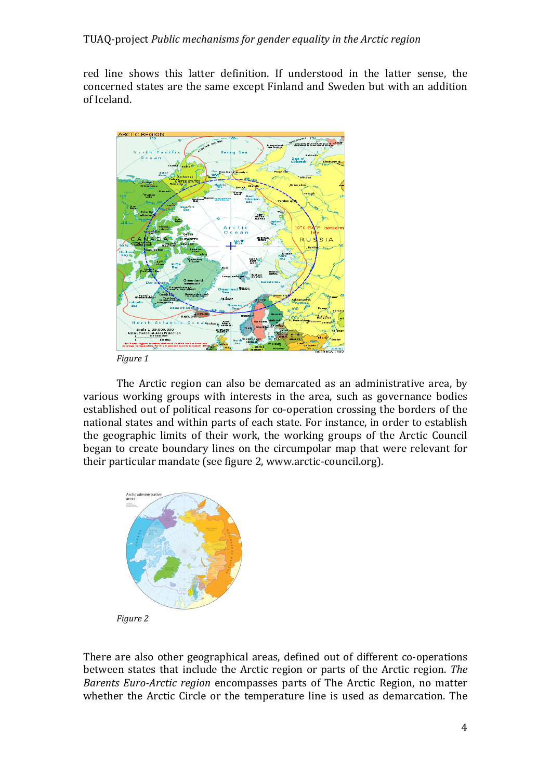red line shows this latter definition. If understood in the latter sense, the concerned states are the same except Finland and Sweden but with an addition of Iceland. 



*Figure 1*

The Arctic region can also be demarcated as an administrative area, by various working groups with interests in the area, such as governance bodies established out of political reasons for co-operation crossing the borders of the national states and within parts of each state. For instance, in order to establish the geographic limits of their work, the working groups of the Arctic Council began to create boundary lines on the circumpolar map that were relevant for their particular mandate (see figure 2, www.arctic-council.org).



There are also other geographical areas, defined out of different co-operations between states that include the Arctic region or parts of the Arctic region. *The Barents Euro-Arctic region* encompasses parts of The Arctic Region, no matter whether the Arctic Circle or the temperature line is used as demarcation. The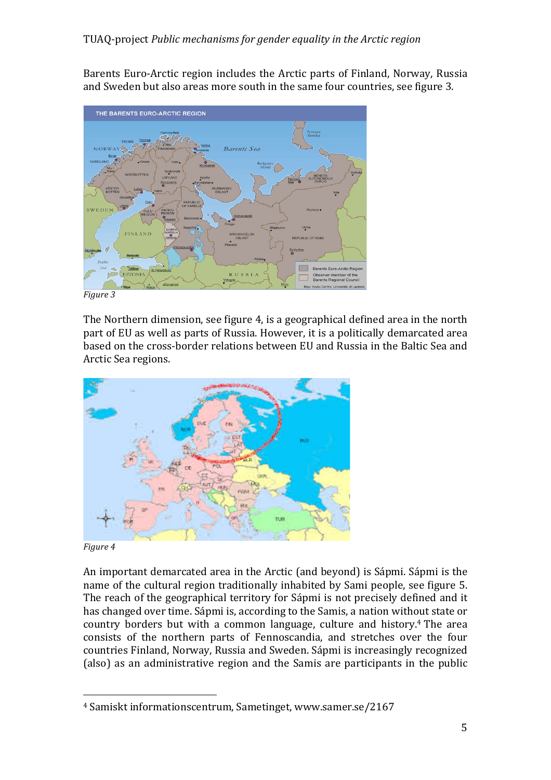Barents Euro-Arctic region includes the Arctic parts of Finland, Norway, Russia and Sweden but also areas more south in the same four countries, see figure 3.



*Figure 3*

The Northern dimension, see figure 4, is a geographical defined area in the north part of EU as well as parts of Russia. However, it is a politically demarcated area based on the cross-border relations between EU and Russia in the Baltic Sea and Arctic Sea regions.



#### *Figure 4*

 

An important demarcated area in the Arctic (and beyond) is Sápmi. Sápmi is the name of the cultural region traditionally inhabited by Sami people, see figure 5. The reach of the geographical territory for Sápmi is not precisely defined and it has changed over time. Sápmi is, according to the Samis, a nation without state or country borders but with a common language, culture and history.<sup>4</sup> The area consists of the northern parts of Fennoscandia, and stretches over the four countries Finland, Norway, Russia and Sweden. Sápmi is increasingly recognized (also) as an administrative region and the Samis are participants in the public

<sup>&</sup>lt;sup>4</sup> Samiskt informationscentrum, Sametinget, www.samer.se/2167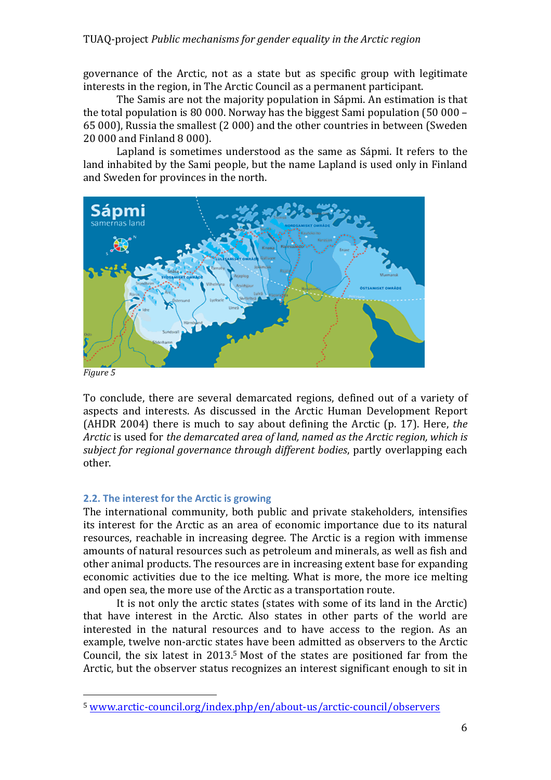governance of the Arctic, not as a state but as specific group with legitimate interests in the region, in The Arctic Council as a permanent participant.

The Samis are not the majority population in Sápmi. An estimation is that the total population is 80 000. Norway has the biggest Sami population  $(50\ 000 -$ 65 000), Russia the smallest (2 000) and the other countries in between (Sweden 20 000 and Finland 8 000). 

Lapland is sometimes understood as the same as Sápmi. It refers to the land inhabited by the Sami people, but the name Lapland is used only in Finland and Sweden for provinces in the north.



*Figure 5*

To conclude, there are several demarcated regions, defined out of a variety of aspects and interests. As discussed in the Arctic Human Development Report (AHDR 2004) there is much to say about defining the Arctic (p. 17). Here, *the Arctic* is used for *the demarcated area of land, named as the Arctic region, which is subject for regional governance through different bodies*, partly overlapping each other.

## **2.2.** The interest for the Arctic is growing

 

The international community, both public and private stakeholders, intensifies its interest for the Arctic as an area of economic importance due to its natural resources, reachable in increasing degree. The Arctic is a region with immense amounts of natural resources such as petroleum and minerals, as well as fish and other animal products. The resources are in increasing extent base for expanding economic activities due to the ice melting. What is more, the more ice melting and open sea, the more use of the Arctic as a transportation route.

It is not only the arctic states (states with some of its land in the Arctic) that have interest in the Arctic. Also states in other parts of the world are interested in the natural resources and to have access to the region. As an example, twelve non-arctic states have been admitted as observers to the Arctic Council, the six latest in  $2013.5$  Most of the states are positioned far from the Arctic, but the observer status recognizes an interest significant enough to sit in

<sup>5</sup> www.arctic-council.org/index.php/en/about-us/arctic-council/observers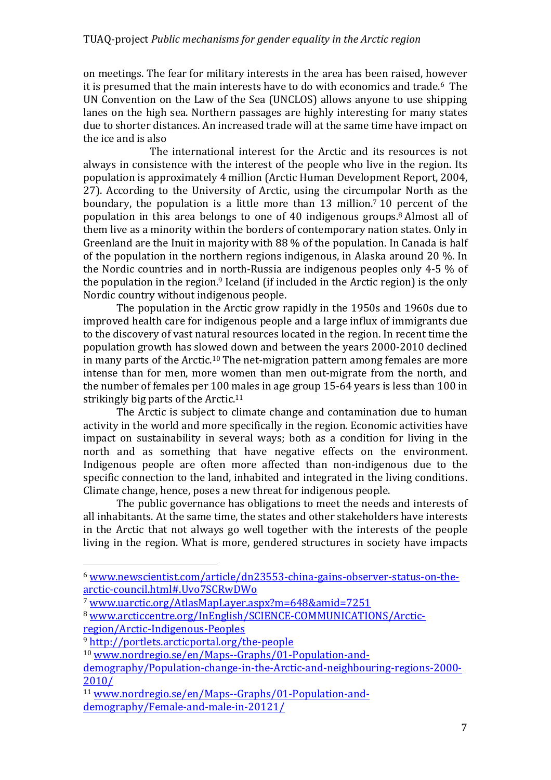on meetings. The fear for military interests in the area has been raised, however it is presumed that the main interests have to do with economics and trade.<sup>6</sup> The UN Convention on the Law of the Sea (UNCLOS) allows anyone to use shipping lanes on the high sea. Northern passages are highly interesting for many states due to shorter distances. An increased trade will at the same time have impact on the ice and is also

The international interest for the Arctic and its resources is not always in consistence with the interest of the people who live in the region. Its population is approximately 4 million (Arctic Human Development Report, 2004, 27). According to the University of Arctic, using the circumpolar North as the boundary, the population is a little more than  $13$  million.<sup>7</sup> 10 percent of the population in this area belongs to one of 40 indigenous groups.<sup>8</sup> Almost all of them live as a minority within the borders of contemporary nation states. Only in Greenland are the Inuit in majority with  $88\%$  of the population. In Canada is half of the population in the northern regions indigenous, in Alaska around 20  $\%$ . In the Nordic countries and in north-Russia are indigenous peoples only 4-5  $\%$  of the population in the region.<sup>9</sup> Iceland (if included in the Arctic region) is the only Nordic country without indigenous people.

The population in the Arctic grow rapidly in the 1950s and 1960s due to improved health care for indigenous people and a large influx of immigrants due to the discovery of vast natural resources located in the region. In recent time the population growth has slowed down and between the years 2000-2010 declined in many parts of the Arctic.<sup>10</sup> The net-migration pattern among females are more intense than for men, more women than men out-migrate from the north, and the number of females per 100 males in age group 15-64 years is less than 100 in strikingly big parts of the Arctic. $11$ 

The Arctic is subject to climate change and contamination due to human activity in the world and more specifically in the region. Economic activities have impact on sustainability in several ways; both as a condition for living in the north and as something that have negative effects on the environment. Indigenous people are often more affected than non-indigenous due to the specific connection to the land, inhabited and integrated in the living conditions. Climate change, hence, poses a new threat for indigenous people.

The public governance has obligations to meet the needs and interests of all inhabitants. At the same time, the states and other stakeholders have interests in the Arctic that not always go well together with the interests of the people living in the region. What is more, gendered structures in society have impacts

<sup>6</sup> www.newscientist.com/article/dn23553-china-gains-observer-status-on-thearctic-council.html#.Uvo7SCRwDWo

<sup>7</sup> www.uarctic.org/AtlasMapLayer.aspx?m=648&amid=7251

<sup>8</sup> www.arcticcentre.org/InEnglish/SCIENCE-COMMUNICATIONS/Arcticregion/Arctic-Indigenous-Peoples

<sup>9</sup> http://portlets.arcticportal.org/the-people

<sup>10</sup> www.nordregio.se/en/Maps--Graphs/01-Population-and-

demography/Population-change-in-the-Arctic-and-neighbouring-regions-2000- 2010/

<sup>11</sup> www.nordregio.se/en/Maps--Graphs/01-Population-anddemography/Female-and-male-in-20121/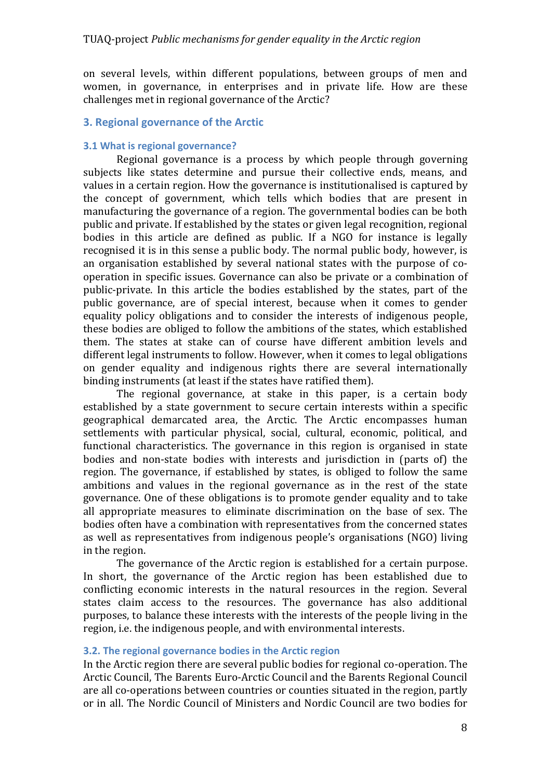on several levels, within different populations, between groups of men and women, in governance, in enterprises and in private life. How are these challenges met in regional governance of the Arctic?

## **3. Regional governance of the Arctic**

#### **3.1 What is regional governance?**

Regional governance is a process by which people through governing subjects like states determine and pursue their collective ends, means, and values in a certain region. How the governance is institutionalised is captured by the concept of government, which tells which bodies that are present in manufacturing the governance of a region. The governmental bodies can be both public and private. If established by the states or given legal recognition, regional bodies in this article are defined as public. If a NGO for instance is legally recognised it is in this sense a public body. The normal public body, however, is an organisation established by several national states with the purpose of cooperation in specific issues. Governance can also be private or a combination of public-private. In this article the bodies established by the states, part of the public governance, are of special interest, because when it comes to gender equality policy obligations and to consider the interests of indigenous people, these bodies are obliged to follow the ambitions of the states, which established them. The states at stake can of course have different ambition levels and different legal instruments to follow. However, when it comes to legal obligations on gender equality and indigenous rights there are several internationally binding instruments (at least if the states have ratified them).

The regional governance, at stake in this paper, is a certain body established by a state government to secure certain interests within a specific geographical demarcated area, the Arctic. The Arctic encompasses human settlements with particular physical, social, cultural, economic, political, and functional characteristics. The governance in this region is organised in state bodies and non-state bodies with interests and jurisdiction in (parts of) the region. The governance, if established by states, is obliged to follow the same ambitions and values in the regional governance as in the rest of the state governance. One of these obligations is to promote gender equality and to take all appropriate measures to eliminate discrimination on the base of sex. The bodies often have a combination with representatives from the concerned states as well as representatives from indigenous people's organisations (NGO) living in the region.

The governance of the Arctic region is established for a certain purpose. In short, the governance of the Arctic region has been established due to conflicting economic interests in the natural resources in the region. Several states claim access to the resources. The governance has also additional purposes, to balance these interests with the interests of the people living in the region, i.e. the indigenous people, and with environmental interests.

#### **3.2.** The regional governance bodies in the Arctic region

In the Arctic region there are several public bodies for regional co-operation. The Arctic Council, The Barents Euro-Arctic Council and the Barents Regional Council are all co-operations between countries or counties situated in the region, partly or in all. The Nordic Council of Ministers and Nordic Council are two bodies for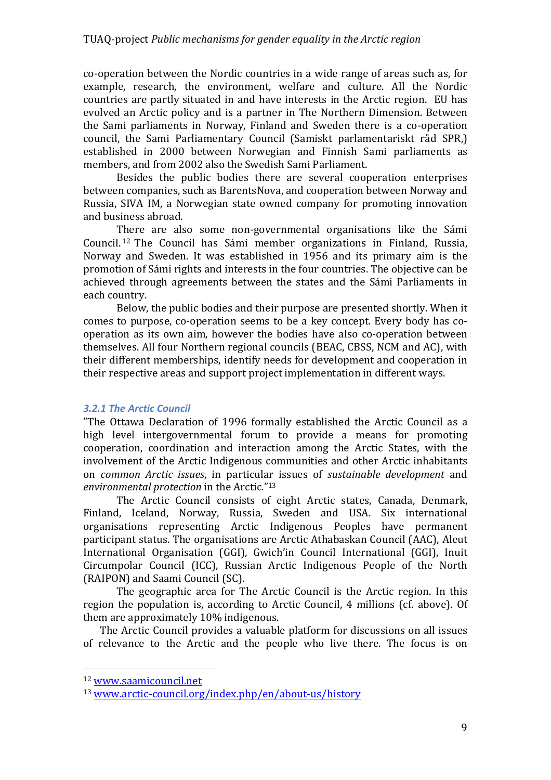co-operation between the Nordic countries in a wide range of areas such as, for example, research, the environment, welfare and culture. All the Nordic countries are partly situated in and have interests in the Arctic region. EU has evolved an Arctic policy and is a partner in The Northern Dimension. Between the Sami parliaments in Norway, Finland and Sweden there is a co-operation council, the Sami Parliamentary Council (Samiskt parlamentariskt råd SPR,) established in 2000 between Norwegian and Finnish Sami parliaments as members, and from 2002 also the Swedish Sami Parliament.

Besides the public bodies there are several cooperation enterprises between companies, such as BarentsNova, and cooperation between Norway and Russia, SIVA IM, a Norwegian state owned company for promoting innovation and business abroad.

There are also some non-governmental organisations like the Sámi Council.<sup>12</sup> The Council has Sámi member organizations in Finland, Russia, Norway and Sweden. It was established in 1956 and its primary aim is the promotion of Sámi rights and interests in the four countries. The objective can be achieved through agreements between the states and the Sámi Parliaments in each country.

Below, the public bodies and their purpose are presented shortly. When it comes to purpose, co-operation seems to be a key concept. Every body has cooperation as its own aim, however the bodies have also co-operation between themselves. All four Northern regional councils (BEAC, CBSS, NCM and AC), with their different memberships, identify needs for development and cooperation in their respective areas and support project implementation in different ways.

## *3.2.1 The Arctic Council*

"The Ottawa Declaration of 1996 formally established the Arctic Council as a high level intergovernmental forum to provide a means for promoting cooperation, coordination and interaction among the Arctic States, with the involvement of the Arctic Indigenous communities and other Arctic inhabitants on *common Arctic issues*, in particular issues of *sustainable development* and *environmental protection* in the Arctic."<sup>13</sup>

The Arctic Council consists of eight Arctic states, Canada, Denmark, Finland, Iceland, Norway, Russia, Sweden and USA. Six international organisations representing Arctic Indigenous Peoples have permanent participant status. The organisations are Arctic Athabaskan Council (AAC), Aleut International Organisation (GGI), Gwich'in Council International (GGI), Inuit Circumpolar Council (ICC), Russian Arctic Indigenous People of the North (RAIPON) and Saami Council (SC).

The geographic area for The Arctic Council is the Arctic region. In this region the population is, according to Arctic Council, 4 millions (cf. above). Of them are approximately 10% indigenous.

The Arctic Council provides a valuable platform for discussions on all issues of relevance to the Arctic and the people who live there. The focus is on

 <sup>12</sup> www.saamicouncil.net

<sup>13</sup> www.arctic-council.org/index.php/en/about-us/history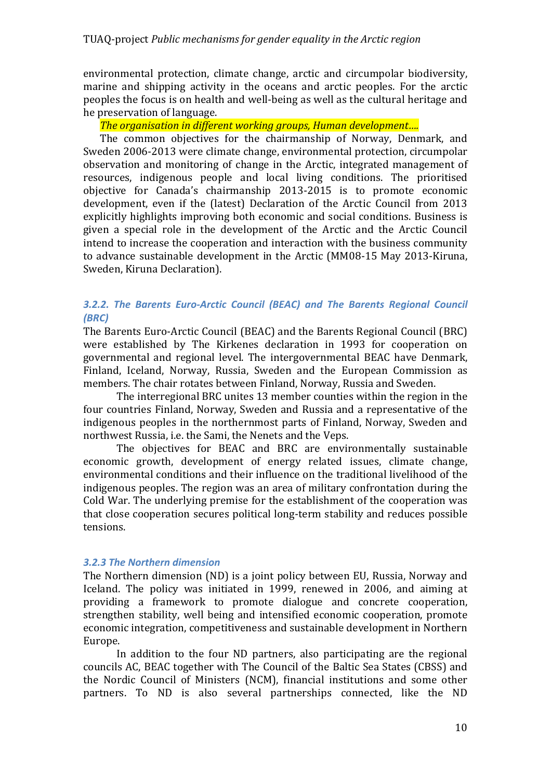environmental protection, climate change, arctic and circumpolar biodiversity, marine and shipping activity in the oceans and arctic peoples. For the arctic peoples the focus is on health and well-being as well as the cultural heritage and he preservation of language.

## *The organisation in different working groups, Human development....*

The common objectives for the chairmanship of Norway, Denmark, and Sweden 2006-2013 were climate change, environmental protection, circumpolar observation and monitoring of change in the Arctic, integrated management of resources, indigenous people and local living conditions. The prioritised objective for Canada's chairmanship 2013-2015 is to promote economic development, even if the (latest) Declaration of the Arctic Council from 2013 explicitly highlights improving both economic and social conditions. Business is given a special role in the development of the Arctic and the Arctic Council intend to increase the cooperation and interaction with the business community to advance sustainable development in the Arctic (MM08-15 May 2013-Kiruna, Sweden, Kiruna Declaration).

# **3.2.2.** The Barents Euro-Arctic Council (BEAC) and The Barents Regional Council *(BRC)*

The Barents Euro-Arctic Council (BEAC) and the Barents Regional Council (BRC) were established by The Kirkenes declaration in 1993 for cooperation on governmental and regional level. The intergovernmental BEAC have Denmark, Finland, Iceland, Norway, Russia, Sweden and the European Commission as members. The chair rotates between Finland, Norway, Russia and Sweden.

The interregional BRC unites 13 member counties within the region in the four countries Finland, Norway, Sweden and Russia and a representative of the indigenous peoples in the northernmost parts of Finland, Norway, Sweden and northwest Russia, i.e. the Sami, the Nenets and the Veps.

The objectives for BEAC and BRC are environmentally sustainable economic growth, development of energy related issues, climate change, environmental conditions and their influence on the traditional livelihood of the indigenous peoples. The region was an area of military confrontation during the Cold War. The underlying premise for the establishment of the cooperation was that close cooperation secures political long-term stability and reduces possible tensions. 

# *3.2.3 The Northern dimension*

The Northern dimension (ND) is a joint policy between EU, Russia, Norway and Iceland. The policy was initiated in 1999, renewed in 2006, and aiming at providing a framework to promote dialogue and concrete cooperation, strengthen stability, well being and intensified economic cooperation, promote economic integration, competitiveness and sustainable development in Northern Europe. 

In addition to the four ND partners, also participating are the regional councils AC, BEAC together with The Council of the Baltic Sea States (CBSS) and the Nordic Council of Ministers (NCM), financial institutions and some other partners. To ND is also several partnerships connected, like the ND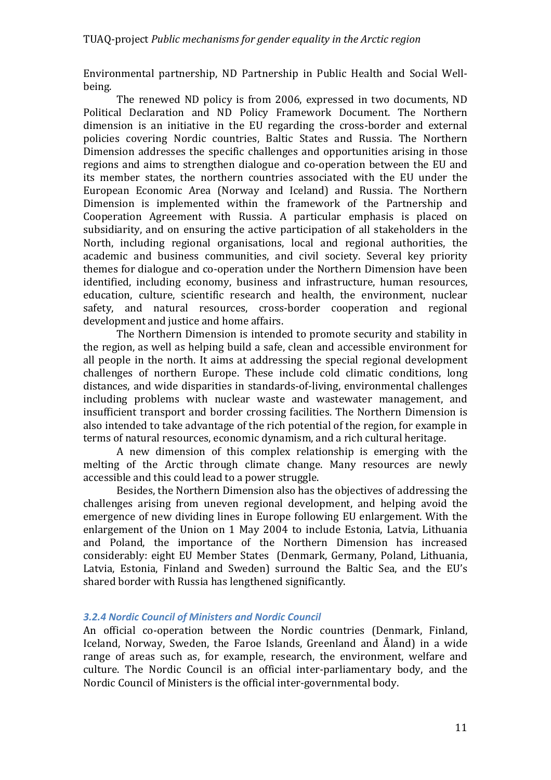Environmental partnership, ND Partnership in Public Health and Social Wellbeing.

The renewed ND policy is from 2006, expressed in two documents, ND Political Declaration and ND Policy Framework Document. The Northern dimension is an initiative in the EU regarding the cross-border and external policies covering Nordic countries, Baltic States and Russia. The Northern Dimension addresses the specific challenges and opportunities arising in those regions and aims to strengthen dialogue and co-operation between the EU and its member states, the northern countries associated with the EU under the European Economic Area (Norway and Iceland) and Russia. The Northern Dimension is implemented within the framework of the Partnership and Cooperation Agreement with Russia. A particular emphasis is placed on subsidiarity, and on ensuring the active participation of all stakeholders in the North, including regional organisations, local and regional authorities, the academic and business communities, and civil society. Several key priority themes for dialogue and co-operation under the Northern Dimension have been identified, including economy, business and infrastructure, human resources, education, culture, scientific research and health, the environment, nuclear safety, and natural resources, cross-border cooperation and regional development and justice and home affairs.

The Northern Dimension is intended to promote security and stability in the region, as well as helping build a safe, clean and accessible environment for all people in the north. It aims at addressing the special regional development challenges of northern Europe. These include cold climatic conditions, long distances, and wide disparities in standards-of-living, environmental challenges including problems with nuclear waste and wastewater management, and insufficient transport and border crossing facilities. The Northern Dimension is also intended to take advantage of the rich potential of the region, for example in terms of natural resources, economic dynamism, and a rich cultural heritage.

A new dimension of this complex relationship is emerging with the melting of the Arctic through climate change. Many resources are newly accessible and this could lead to a power struggle.

Besides, the Northern Dimension also has the objectives of addressing the challenges arising from uneven regional development, and helping avoid the emergence of new dividing lines in Europe following EU enlargement. With the enlargement of the Union on 1 May 2004 to include Estonia, Latvia, Lithuania and Poland, the importance of the Northern Dimension has increased considerably: eight EU Member States (Denmark, Germany, Poland, Lithuania, Latvia, Estonia, Finland and Sweden) surround the Baltic Sea, and the EU's shared border with Russia has lengthened significantly.

## *3.2.4 Nordic Council of Ministers and Nordic Council*

An official co-operation between the Nordic countries (Denmark, Finland, Iceland, Norway, Sweden, the Faroe Islands, Greenland and Åland) in a wide range of areas such as, for example, research, the environment, welfare and culture. The Nordic Council is an official inter-parliamentary body, and the Nordic Council of Ministers is the official inter-governmental body.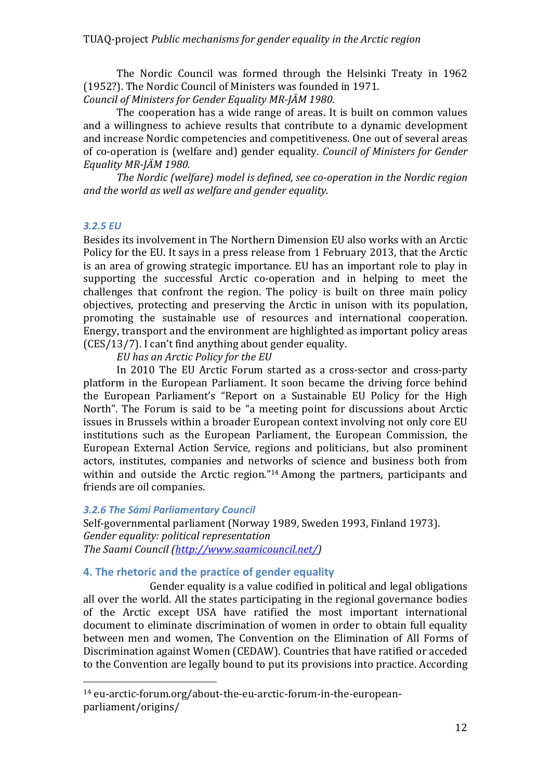The Nordic Council was formed through the Helsinki Treaty in 1962 (1952?). The Nordic Council of Ministers was founded in 1971.

*Council of Ministers for Gender Equality MR-JÄM 1980.*

The cooperation has a wide range of areas. It is built on common values and a willingness to achieve results that contribute to a dynamic development and increase Nordic competencies and competitiveness. One out of several areas of co-operation is (welfare and) gender equality. *Council of Ministers for Gender* Equality MR-JÄM 1980.

*The Nordic (welfare)* model is defined, see co-operation in the Nordic region and the world as well as welfare and gender equality.

## *3.2.5 EU*

Besides its involvement in The Northern Dimension EU also works with an Arctic Policy for the EU. It says in a press release from 1 February 2013, that the Arctic is an area of growing strategic importance. EU has an important role to play in supporting the successful Arctic co-operation and in helping to meet the challenges that confront the region. The policy is built on three main policy objectives, protecting and preserving the Arctic in unison with its population, promoting the sustainable use of resources and international cooperation. Energy, transport and the environment are highlighted as important policy areas  $(CES/13/7)$ . I can't find anything about gender equality.

*EU* has an Arctic Policy for the *EU* 

In 2010 The EU Arctic Forum started as a cross-sector and cross-party platform in the European Parliament. It soon became the driving force behind the European Parliament's "Report on a Sustainable EU Policy for the High North". The Forum is said to be "a meeting point for discussions about Arctic issues in Brussels within a broader European context involving not only core EU institutions such as the European Parliament, the European Commission, the European External Action Service, regions and politicians, but also prominent actors, institutes, companies and networks of science and business both from within and outside the Arctic region."<sup>14</sup> Among the partners, participants and friends are oil companies.

## *3.2.6 The Sámi Parliamentary Council*

 

Self-governmental parliament (Norway 1989, Sweden 1993, Finland 1973). *Gender equality: political representation The Saami Council (http://www.saamicouncil.net/)*

# **4. The rhetoric and the practice of gender equality**

Gender equality is a value codified in political and legal obligations all over the world. All the states participating in the regional governance bodies of the Arctic except USA have ratified the most important international document to eliminate discrimination of women in order to obtain full equality between men and women. The Convention on the Elimination of All Forms of Discrimination against Women (CEDAW). Countries that have ratified or acceded to the Convention are legally bound to put its provisions into practice. According

<sup>14</sup> eu-arctic-forum.org/about-the-eu-arctic-forum-in-the-europeanparliament/origins/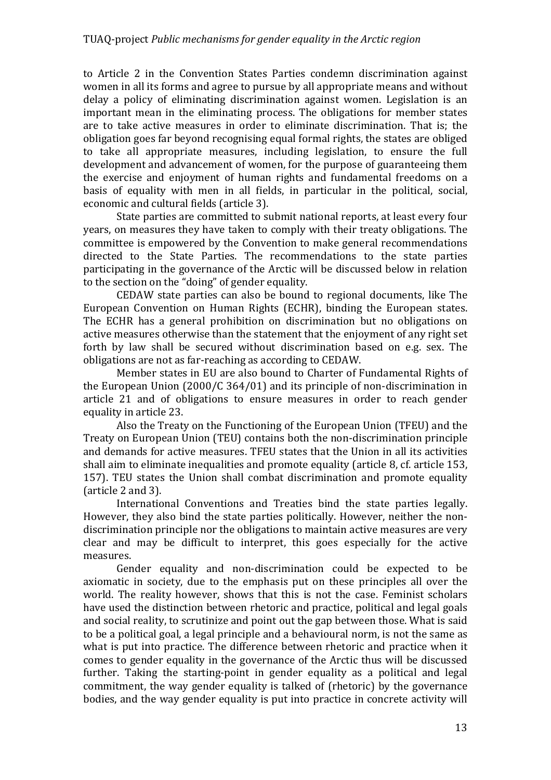to Article 2 in the Convention States Parties condemn discrimination against women in all its forms and agree to pursue by all appropriate means and without delay a policy of eliminating discrimination against women. Legislation is an important mean in the eliminating process. The obligations for member states are to take active measures in order to eliminate discrimination. That is; the obligation goes far beyond recognising equal formal rights, the states are obliged to take all appropriate measures, including legislation, to ensure the full development and advancement of women, for the purpose of guaranteeing them the exercise and enjoyment of human rights and fundamental freedoms on a basis of equality with men in all fields, in particular in the political, social, economic and cultural fields (article 3).

State parties are committed to submit national reports, at least every four years, on measures they have taken to comply with their treaty obligations. The committee is empowered by the Convention to make general recommendations directed to the State Parties. The recommendations to the state parties participating in the governance of the Arctic will be discussed below in relation to the section on the "doing" of gender equality.

CEDAW state parties can also be bound to regional documents, like The European Convention on Human Rights (ECHR), binding the European states. The ECHR has a general prohibition on discrimination but no obligations on active measures otherwise than the statement that the enjoyment of any right set forth by law shall be secured without discrimination based on e.g. sex. The obligations are not as far-reaching as according to CEDAW.

Member states in EU are also bound to Charter of Fundamental Rights of the European Union  $(2000/C 364/01)$  and its principle of non-discrimination in article 21 and of obligations to ensure measures in order to reach gender equality in article 23.

Also the Treaty on the Functioning of the European Union (TFEU) and the Treaty on European Union (TEU) contains both the non-discrimination principle and demands for active measures. TFEU states that the Union in all its activities shall aim to eliminate inequalities and promote equality (article 8, cf. article 153, 157). TEU states the Union shall combat discrimination and promote equality (article 2 and 3).

International Conventions and Treaties bind the state parties legally. However, they also bind the state parties politically. However, neither the nondiscrimination principle nor the obligations to maintain active measures are very clear and may be difficult to interpret, this goes especially for the active measures. 

Gender equality and non-discrimination could be expected to be axiomatic in society, due to the emphasis put on these principles all over the world. The reality however, shows that this is not the case. Feminist scholars have used the distinction between rhetoric and practice, political and legal goals and social reality, to scrutinize and point out the gap between those. What is said to be a political goal, a legal principle and a behavioural norm, is not the same as what is put into practice. The difference between rhetoric and practice when it comes to gender equality in the governance of the Arctic thus will be discussed further. Taking the starting-point in gender equality as a political and legal commitment, the way gender equality is talked of (rhetoric) by the governance bodies, and the way gender equality is put into practice in concrete activity will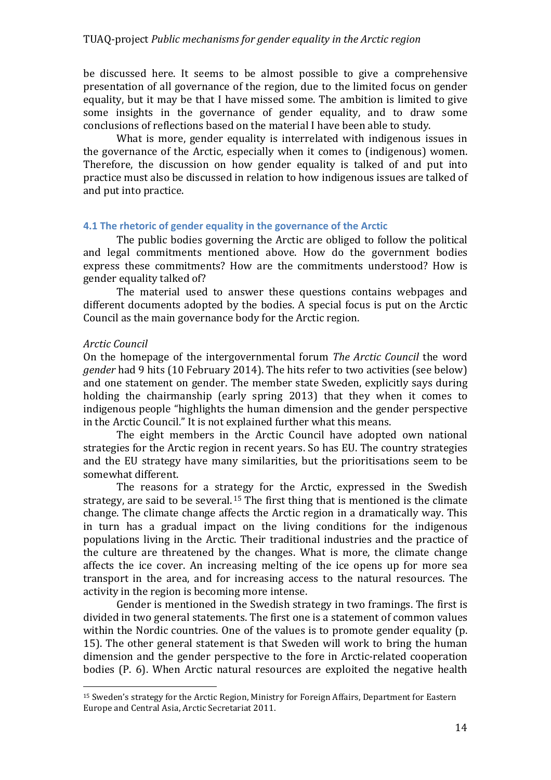be discussed here. It seems to be almost possible to give a comprehensive presentation of all governance of the region, due to the limited focus on gender equality, but it may be that I have missed some. The ambition is limited to give some insights in the governance of gender equality, and to draw some conclusions of reflections based on the material I have been able to study.

What is more, gender equality is interrelated with indigenous issues in the governance of the Arctic, especially when it comes to (indigenous) women. Therefore, the discussion on how gender equality is talked of and put into practice must also be discussed in relation to how indigenous issues are talked of and put into practice.

## **4.1 The rhetoric of gender equality in the governance of the Arctic**

The public bodies governing the Arctic are obliged to follow the political and legal commitments mentioned above. How do the government bodies express these commitments? How are the commitments understood? How is gender equality talked of?

The material used to answer these questions contains webpages and different documents adopted by the bodies. A special focus is put on the Arctic Council as the main governance body for the Arctic region.

# *Arctic Council*

 

On the homepage of the intergovernmental forum *The Arctic Council* the word *gender* had 9 hits (10 February 2014). The hits refer to two activities (see below) and one statement on gender. The member state Sweden, explicitly says during holding the chairmanship (early spring  $2013$ ) that they when it comes to indigenous people "highlights the human dimension and the gender perspective in the Arctic Council." It is not explained further what this means.

The eight members in the Arctic Council have adopted own national strategies for the Arctic region in recent years. So has EU. The country strategies and the EU strategy have many similarities, but the prioritisations seem to be somewhat different.

The reasons for a strategy for the Arctic, expressed in the Swedish strategy, are said to be several.<sup>15</sup> The first thing that is mentioned is the climate change. The climate change affects the Arctic region in a dramatically way. This in turn has a gradual impact on the living conditions for the indigenous populations living in the Arctic. Their traditional industries and the practice of the culture are threatened by the changes. What is more, the climate change affects the ice cover. An increasing melting of the ice opens up for more sea transport in the area, and for increasing access to the natural resources. The activity in the region is becoming more intense.

Gender is mentioned in the Swedish strategy in two framings. The first is divided in two general statements. The first one is a statement of common values within the Nordic countries. One of the values is to promote gender equality (p. 15). The other general statement is that Sweden will work to bring the human dimension and the gender perspective to the fore in Arctic-related cooperation bodies (P. 6). When Arctic natural resources are exploited the negative health

<sup>&</sup>lt;sup>15</sup> Sweden's strategy for the Arctic Region, Ministry for Foreign Affairs, Department for Eastern Europe and Central Asia, Arctic Secretariat 2011.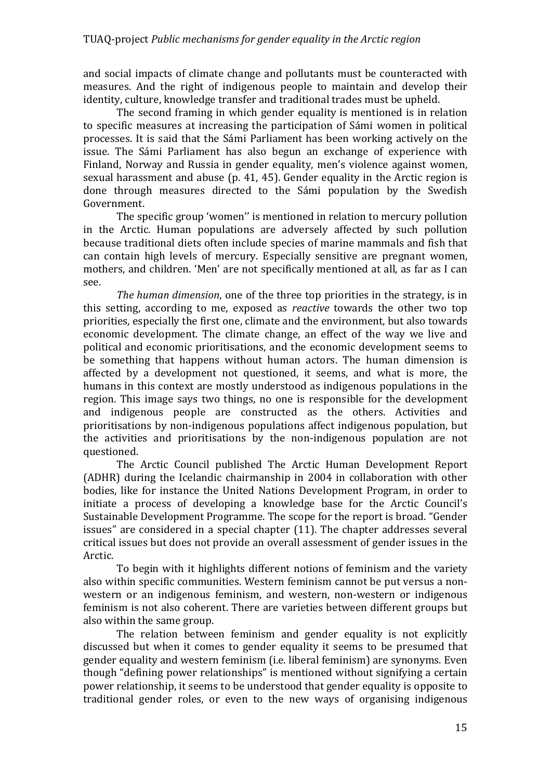and social impacts of climate change and pollutants must be counteracted with measures. And the right of indigenous people to maintain and develop their identity, culture, knowledge transfer and traditional trades must be upheld.

The second framing in which gender equality is mentioned is in relation to specific measures at increasing the participation of Sámi women in political processes. It is said that the Sámi Parliament has been working actively on the issue. The Sámi Parliament has also begun an exchange of experience with Finland, Norway and Russia in gender equality, men's violence against women, sexual harassment and abuse (p. 41, 45). Gender equality in the Arctic region is done through measures directed to the Sámi population by the Swedish Government. 

The specific group 'women'' is mentioned in relation to mercury pollution in the Arctic. Human populations are adversely affected by such pollution because traditional diets often include species of marine mammals and fish that can contain high levels of mercury. Especially sensitive are pregnant women, mothers, and children. 'Men' are not specifically mentioned at all, as far as I can see. 

*The human dimension*, one of the three top priorities in the strategy, is in this setting, according to me, exposed as *reactive* towards the other two top priorities, especially the first one, climate and the environment, but also towards economic development. The climate change, an effect of the way we live and political and economic prioritisations, and the economic development seems to be something that happens without human actors. The human dimension is affected by a development not questioned, it seems, and what is more, the humans in this context are mostly understood as indigenous populations in the region. This image says two things, no one is responsible for the development and indigenous people are constructed as the others. Activities and prioritisations by non-indigenous populations affect indigenous population, but the activities and prioritisations by the non-indigenous population are not questioned.

The Arctic Council published The Arctic Human Development Report (ADHR) during the Icelandic chairmanship in 2004 in collaboration with other bodies, like for instance the United Nations Development Program, in order to initiate a process of developing a knowledge base for the Arctic Council's Sustainable Development Programme. The scope for the report is broad. "Gender issues" are considered in a special chapter (11). The chapter addresses several critical issues but does not provide an overall assessment of gender issues in the Arctic. 

To begin with it highlights different notions of feminism and the variety also within specific communities. Western feminism cannot be put versus a nonwestern or an indigenous feminism, and western, non-western or indigenous feminism is not also coherent. There are varieties between different groups but also within the same group.

The relation between feminism and gender equality is not explicitly discussed but when it comes to gender equality it seems to be presumed that gender equality and western feminism (i.e. liberal feminism) are synonyms. Even though "defining power relationships" is mentioned without signifying a certain power relationship, it seems to be understood that gender equality is opposite to traditional gender roles, or even to the new ways of organising indigenous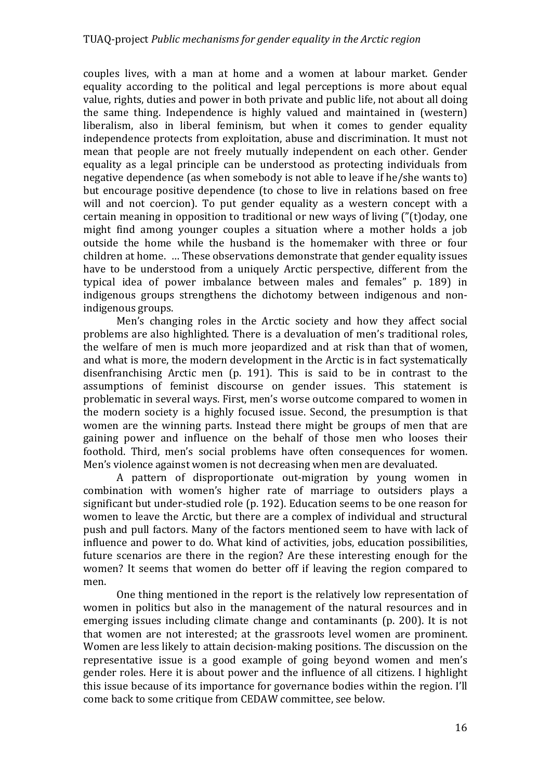couples lives, with a man at home and a women at labour market. Gender equality according to the political and legal perceptions is more about equal value, rights, duties and power in both private and public life, not about all doing the same thing. Independence is highly valued and maintained in (western) liberalism, also in liberal feminism, but when it comes to gender equality independence protects from exploitation, abuse and discrimination. It must not mean that people are not freely mutually independent on each other. Gender equality as a legal principle can be understood as protecting individuals from negative dependence (as when somebody is not able to leave if he/she wants to) but encourage positive dependence (to chose to live in relations based on free will and not coercion). To put gender equality as a western concept with a certain meaning in opposition to traditional or new ways of living  $('')$  (t)oday, one might find among younger couples a situation where a mother holds a job outside the home while the husband is the homemaker with three or four children at home. ... These observations demonstrate that gender equality issues have to be understood from a uniquely Arctic perspective, different from the typical idea of power imbalance between males and females" p. 189) in indigenous groups strengthens the dichotomy between indigenous and nonindigenous groups.

Men's changing roles in the Arctic society and how they affect social problems are also highlighted. There is a devaluation of men's traditional roles, the welfare of men is much more jeopardized and at risk than that of women, and what is more, the modern development in the Arctic is in fact systematically disenfranchising Arctic men  $(p. 191)$ . This is said to be in contrast to the assumptions of feminist discourse on gender issues. This statement is problematic in several ways. First, men's worse outcome compared to women in the modern society is a highly focused issue. Second, the presumption is that women are the winning parts. Instead there might be groups of men that are gaining power and influence on the behalf of those men who looses their foothold. Third, men's social problems have often consequences for women. Men's violence against women is not decreasing when men are devaluated.

A pattern of disproportionate out-migration by young women in combination with women's higher rate of marriage to outsiders plays a significant but under-studied role (p. 192). Education seems to be one reason for women to leave the Arctic, but there are a complex of individual and structural push and pull factors. Many of the factors mentioned seem to have with lack of influence and power to do. What kind of activities, jobs, education possibilities, future scenarios are there in the region? Are these interesting enough for the women? It seems that women do better off if leaving the region compared to men. 

One thing mentioned in the report is the relatively low representation of women in politics but also in the management of the natural resources and in emerging issues including climate change and contaminants (p. 200). It is not that women are not interested; at the grassroots level women are prominent. Women are less likely to attain decision-making positions. The discussion on the representative issue is a good example of going beyond women and men's gender roles. Here it is about power and the influence of all citizens. I highlight this issue because of its importance for governance bodies within the region. I'll come back to some critique from CEDAW committee, see below.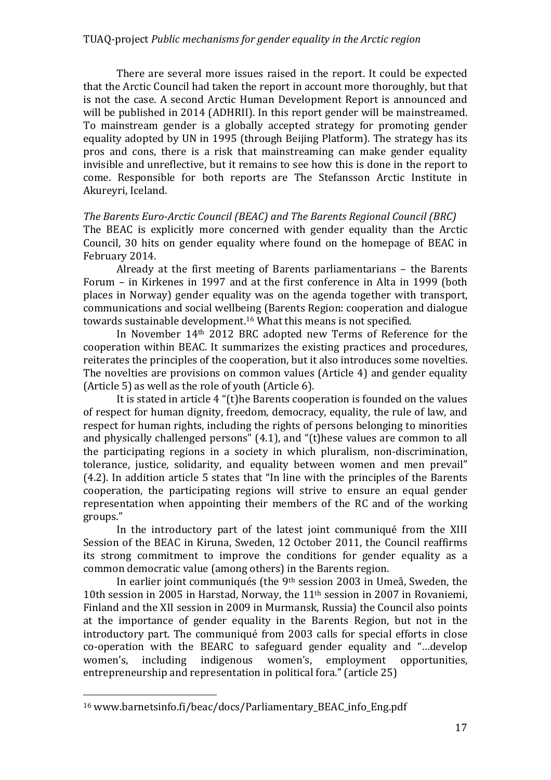## TUAQ-project *Public mechanisms for gender equality in the Arctic region*

There are several more issues raised in the report. It could be expected that the Arctic Council had taken the report in account more thoroughly, but that is not the case. A second Arctic Human Development Report is announced and will be published in 2014 (ADHRII). In this report gender will be mainstreamed. To mainstream gender is a globally accepted strategy for promoting gender equality adopted by UN in 1995 (through Beijing Platform). The strategy has its pros and cons, there is a risk that mainstreaming can make gender equality invisible and unreflective, but it remains to see how this is done in the report to come. Responsible for both reports are The Stefansson Arctic Institute in Akureyri, Iceland.

*The Barents Euro-Arctic Council (BEAC) and The Barents Regional Council (BRC)* The BEAC is explicitly more concerned with gender equality than the Arctic Council, 30 hits on gender equality where found on the homepage of BEAC in February 2014.

Already at the first meeting of Barents parliamentarians  $-$  the Barents Forum – in Kirkenes in 1997 and at the first conference in Alta in 1999 (both places in Norway) gender equality was on the agenda together with transport, communications and social wellbeing (Barents Region: cooperation and dialogue towards sustainable development.<sup>16</sup> What this means is not specified.

In November 14<sup>th</sup> 2012 BRC adopted new Terms of Reference for the cooperation within BEAC. It summarizes the existing practices and procedures, reiterates the principles of the cooperation, but it also introduces some novelties. The novelties are provisions on common values (Article 4) and gender equality (Article 5) as well as the role of youth (Article 6).

It is stated in article  $4$  "(t)he Barents cooperation is founded on the values of respect for human dignity, freedom, democracy, equality, the rule of law, and respect for human rights, including the rights of persons belonging to minorities and physically challenged persons"  $(4.1)$ , and " $(t)$ hese values are common to all the participating regions in a society in which pluralism, non-discrimination, tolerance, justice, solidarity, and equality between women and men prevail" (4.2). In addition article 5 states that "In line with the principles of the Barents cooperation, the participating regions will strive to ensure an equal gender representation when appointing their members of the RC and of the working groups." 

In the introductory part of the latest joint communiqué from the XIII Session of the BEAC in Kiruna, Sweden, 12 October 2011, the Council reaffirms its strong commitment to improve the conditions for gender equality as a common democratic value (among others) in the Barents region.

In earlier joint communiqués (the 9<sup>th</sup> session 2003 in Umeå, Sweden, the 10th session in 2005 in Harstad, Norway, the 11<sup>th</sup> session in 2007 in Rovaniemi. Finland and the XII session in 2009 in Murmansk, Russia) the Council also points at the importance of gender equality in the Barents Region, but not in the introductory part. The communiqué from 2003 calls for special efforts in close co-operation with the BEARC to safeguard gender equality and "…develop women's, including indigenous women's, employment opportunities, entrepreneurship and representation in political fora." (article 25)

<sup>16</sup> www.barnetsinfo.fi/beac/docs/Parliamentary\_BEAC\_info\_Eng.pdf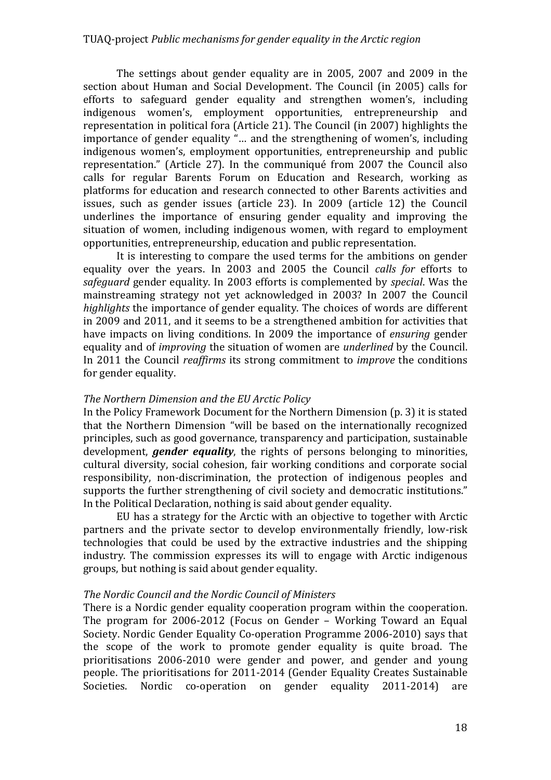The settings about gender equality are in 2005, 2007 and 2009 in the section about Human and Social Development. The Council (in 2005) calls for efforts to safeguard gender equality and strengthen women's, including indigenous women's, employment opportunities, entrepreneurship and representation in political fora (Article 21). The Council (in 2007) highlights the importance of gender equality "... and the strengthening of women's, including indigenous women's, employment opportunities, entrepreneurship and public representation." (Article 27). In the communiqué from 2007 the Council also calls for regular Barents Forum on Education and Research, working as platforms for education and research connected to other Barents activities and issues, such as gender issues (article 23). In 2009 (article 12) the Council underlines the importance of ensuring gender equality and improving the situation of women, including indigenous women, with regard to employment opportunities, entrepreneurship, education and public representation.

It is interesting to compare the used terms for the ambitions on gender equality over the years. In 2003 and 2005 the Council *calls for* efforts to *safequard* gender equality. In 2003 efforts is complemented by *special*. Was the mainstreaming strategy not yet acknowledged in 2003? In 2007 the Council *highlights* the importance of gender equality. The choices of words are different in 2009 and 2011, and it seems to be a strengthened ambition for activities that have impacts on living conditions. In 2009 the importance of *ensuring* gender equality and of *improving* the situation of women are *underlined* by the Council. In 2011 the Council *reaffirms* its strong commitment to *improve* the conditions for gender equality.

# *The Northern Dimension and the EU Arctic Policy*

In the Policy Framework Document for the Northern Dimension (p. 3) it is stated that the Northern Dimension "will be based on the internationally recognized principles, such as good governance, transparency and participation, sustainable development, *gender equality*, the rights of persons belonging to minorities, cultural diversity, social cohesion, fair working conditions and corporate social responsibility, non-discrimination, the protection of indigenous peoples and supports the further strengthening of civil society and democratic institutions." In the Political Declaration, nothing is said about gender equality.

EU has a strategy for the Arctic with an objective to together with Arctic partners and the private sector to develop environmentally friendly, low-risk technologies that could be used by the extractive industries and the shipping industry. The commission expresses its will to engage with Arctic indigenous groups, but nothing is said about gender equality.

# *The Nordic Council and the Nordic Council of Ministers*

There is a Nordic gender equality cooperation program within the cooperation. The program for  $2006-2012$  (Focus on Gender – Working Toward an Equal Society. Nordic Gender Equality Co-operation Programme 2006-2010) says that the scope of the work to promote gender equality is quite broad. The prioritisations 2006-2010 were gender and power, and gender and young people. The prioritisations for 2011-2014 (Gender Equality Creates Sustainable Societies. Nordic co-operation on gender equality 2011-2014) are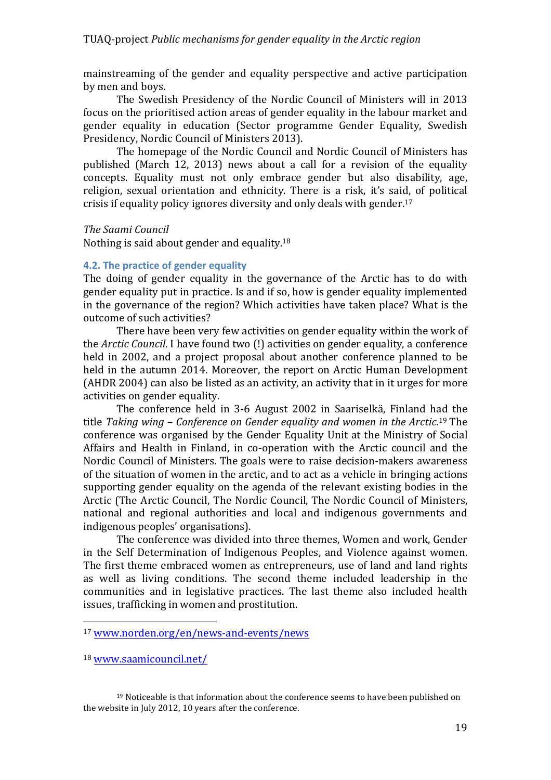mainstreaming of the gender and equality perspective and active participation by men and boys.

The Swedish Presidency of the Nordic Council of Ministers will in 2013 focus on the prioritised action areas of gender equality in the labour market and gender equality in education (Sector programme Gender Equality, Swedish Presidency, Nordic Council of Ministers 2013).

The homepage of the Nordic Council and Nordic Council of Ministers has published (March 12, 2013) news about a call for a revision of the equality concepts. Equality must not only embrace gender but also disability, age, religion, sexual orientation and ethnicity. There is a risk, it's said, of political crisis if equality policy ignores diversity and only deals with gender.<sup>17</sup>

## *The Saami Council*

Nothing is said about gender and equality.<sup>18</sup>

# **4.2.** The practice of gender equality

The doing of gender equality in the governance of the Arctic has to do with gender equality put in practice. Is and if so, how is gender equality implemented in the governance of the region? Which activities have taken place? What is the outcome of such activities?

There have been very few activities on gender equality within the work of the *Arctic Council*. I have found two (!) activities on gender equality, a conference held in 2002, and a project proposal about another conference planned to be held in the autumn 2014. Moreover, the report on Arctic Human Development (AHDR 2004) can also be listed as an activity, an activity that in it urges for more activities on gender equality.

The conference held in 3-6 August 2002 in Saariselkä, Finland had the title Taking wing – Conference on Gender equality and women in the Arctic.<sup>19</sup> The conference was organised by the Gender Equality Unit at the Ministry of Social Affairs and Health in Finland, in co-operation with the Arctic council and the Nordic Council of Ministers. The goals were to raise decision-makers awareness of the situation of women in the arctic, and to act as a vehicle in bringing actions supporting gender equality on the agenda of the relevant existing bodies in the Arctic (The Arctic Council, The Nordic Council, The Nordic Council of Ministers, national and regional authorities and local and indigenous governments and indigenous peoples' organisations).

The conference was divided into three themes, Women and work, Gender in the Self Determination of Indigenous Peoples, and Violence against women. The first theme embraced women as entrepreneurs, use of land and land rights as well as living conditions. The second theme included leadership in the communities and in legislative practices. The last theme also included health issues, trafficking in women and prostitution.

<sup>17</sup> www.norden.org/en/news-and-events/news

<sup>18</sup> www.saamicouncil.net/

 $19$  Noticeable is that information about the conference seems to have been published on the website in July 2012, 10 years after the conference.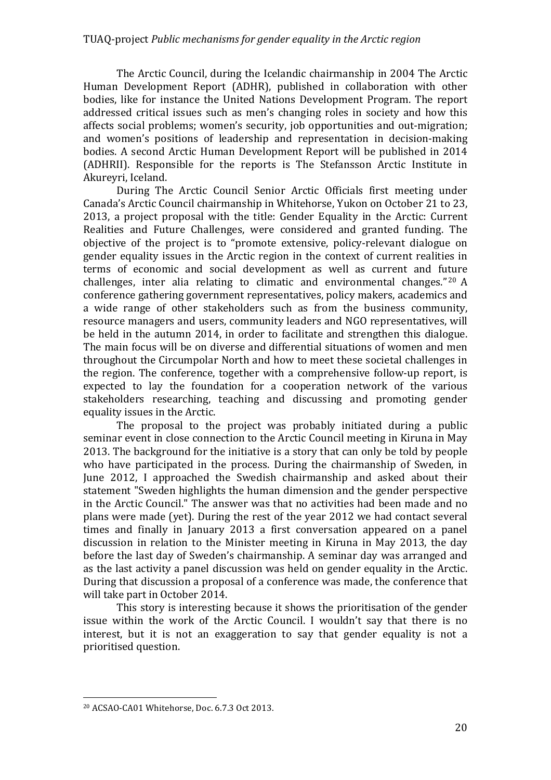The Arctic Council, during the Icelandic chairmanship in 2004 The Arctic Human Development Report (ADHR), published in collaboration with other bodies, like for instance the United Nations Development Program. The report addressed critical issues such as men's changing roles in society and how this affects social problems; women's security, job opportunities and out-migration; and women's positions of leadership and representation in decision-making bodies. A second Arctic Human Development Report will be published in 2014 (ADHRII). Responsible for the reports is The Stefansson Arctic Institute in Akureyri, Iceland.

During The Arctic Council Senior Arctic Officials first meeting under Canada's Arctic Council chairmanship in Whitehorse, Yukon on October 21 to 23, 2013, a project proposal with the title: Gender Equality in the Arctic: Current Realities and Future Challenges, were considered and granted funding. The objective of the project is to "promote extensive, policy-relevant dialogue on gender equality issues in the Arctic region in the context of current realities in terms of economic and social development as well as current and future challenges, inter alia relating to climatic and environmental changes."  $20$  A conference gathering government representatives, policy makers, academics and a wide range of other stakeholders such as from the business community, resource managers and users, community leaders and NGO representatives, will be held in the autumn 2014, in order to facilitate and strengthen this dialogue. The main focus will be on diverse and differential situations of women and men throughout the Circumpolar North and how to meet these societal challenges in the region. The conference, together with a comprehensive follow-up report, is expected to lay the foundation for a cooperation network of the various stakeholders researching, teaching and discussing and promoting gender equality issues in the Arctic.

The proposal to the project was probably initiated during a public seminar event in close connection to the Arctic Council meeting in Kiruna in May 2013. The background for the initiative is a story that can only be told by people who have participated in the process. During the chairmanship of Sweden, in June 2012, I approached the Swedish chairmanship and asked about their statement "Sweden highlights the human dimension and the gender perspective in the Arctic Council." The answer was that no activities had been made and no plans were made (yet). During the rest of the year 2012 we had contact several times and finally in January 2013 a first conversation appeared on a panel discussion in relation to the Minister meeting in Kiruna in May 2013, the day before the last day of Sweden's chairmanship. A seminar day was arranged and as the last activity a panel discussion was held on gender equality in the Arctic. During that discussion a proposal of a conference was made, the conference that will take part in October 2014.

This story is interesting because it shows the prioritisation of the gender issue within the work of the Arctic Council. I wouldn't say that there is no interest, but it is not an exaggeration to say that gender equality is not a prioritised question.

<sup>&</sup>lt;sup>20</sup> ACSAO-CA01 Whitehorse, Doc. 6.7.3 Oct 2013.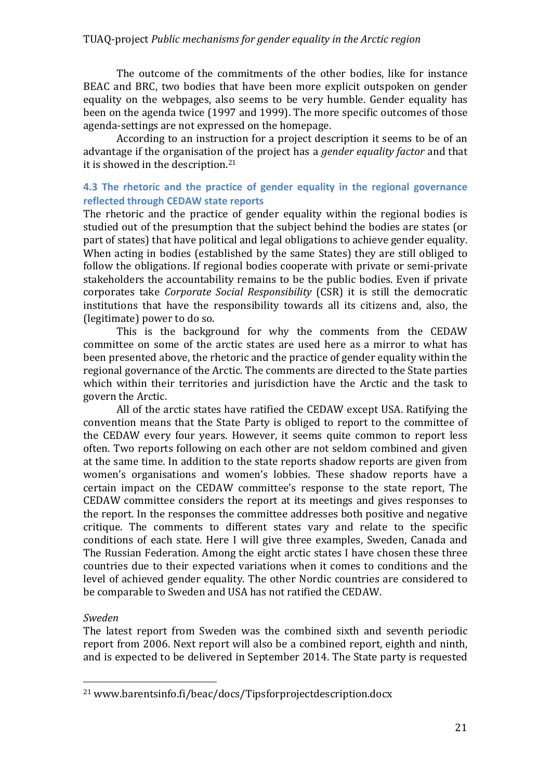The outcome of the commitments of the other bodies, like for instance BEAC and BRC, two bodies that have been more explicit outspoken on gender equality on the webpages, also seems to be very humble. Gender equality has been on the agenda twice (1997 and 1999). The more specific outcomes of those agenda-settings are not expressed on the homepage.

According to an instruction for a project description it seems to be of an advantage if the organisation of the project has a *gender equality factor* and that it is showed in the description.<sup>21</sup>

# **4.3** The rhetoric and the practice of gender equality in the regional governance **reflected through CEDAW state reports**

The rhetoric and the practice of gender equality within the regional bodies is studied out of the presumption that the subject behind the bodies are states (or part of states) that have political and legal obligations to achieve gender equality. When acting in bodies (established by the same States) they are still obliged to follow the obligations. If regional bodies cooperate with private or semi-private stakeholders the accountability remains to be the public bodies. Even if private corporates take *Corporate Social Responsibility* (CSR) it is still the democratic institutions that have the responsibility towards all its citizens and, also, the (legitimate) power to do so.

This is the background for why the comments from the CEDAW committee on some of the arctic states are used here as a mirror to what has been presented above, the rhetoric and the practice of gender equality within the regional governance of the Arctic. The comments are directed to the State parties which within their territories and jurisdiction have the Arctic and the task to govern the Arctic.

All of the arctic states have ratified the CEDAW except USA. Ratifying the convention means that the State Party is obliged to report to the committee of the CEDAW every four years. However, it seems quite common to report less often. Two reports following on each other are not seldom combined and given at the same time. In addition to the state reports shadow reports are given from women's organisations and women's lobbies. These shadow reports have a certain impact on the CEDAW committee's response to the state report, The CEDAW committee considers the report at its meetings and gives responses to the report. In the responses the committee addresses both positive and negative critique. The comments to different states vary and relate to the specific conditions of each state. Here I will give three examples, Sweden, Canada and The Russian Federation. Among the eight arctic states I have chosen these three countries due to their expected variations when it comes to conditions and the level of achieved gender equality. The other Nordic countries are considered to be comparable to Sweden and USA has not ratified the CEDAW.

# *Sweden*

 

The latest report from Sweden was the combined sixth and seventh periodic report from 2006. Next report will also be a combined report, eighth and ninth, and is expected to be delivered in September 2014. The State party is requested

<sup>21</sup> www.barentsinfo.fi/beac/docs/Tipsforprojectdescription.docx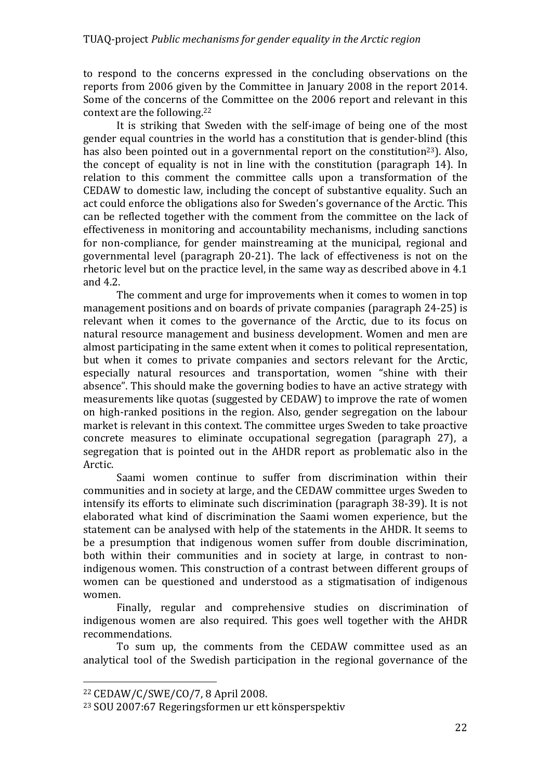to respond to the concerns expressed in the concluding observations on the reports from 2006 given by the Committee in January 2008 in the report 2014. Some of the concerns of the Committee on the 2006 report and relevant in this context are the following. $22$ 

It is striking that Sweden with the self-image of being one of the most gender equal countries in the world has a constitution that is gender-blind (this has also been pointed out in a governmental report on the constitution<sup>23</sup>). Also, the concept of equality is not in line with the constitution (paragraph 14). In relation to this comment the committee calls upon a transformation of the CEDAW to domestic law, including the concept of substantive equality. Such an act could enforce the obligations also for Sweden's governance of the Arctic. This can be reflected together with the comment from the committee on the lack of effectiveness in monitoring and accountability mechanisms, including sanctions for non-compliance, for gender mainstreaming at the municipal, regional and governmental level (paragraph 20-21). The lack of effectiveness is not on the rhetoric level but on the practice level, in the same way as described above in  $4.1$ and  $4.2$ .

The comment and urge for improvements when it comes to women in top management positions and on boards of private companies (paragraph 24-25) is relevant when it comes to the governance of the Arctic, due to its focus on natural resource management and business development. Women and men are almost participating in the same extent when it comes to political representation, but when it comes to private companies and sectors relevant for the Arctic, especially natural resources and transportation, women "shine with their absence". This should make the governing bodies to have an active strategy with measurements like quotas (suggested by CEDAW) to improve the rate of women on high-ranked positions in the region. Also, gender segregation on the labour market is relevant in this context. The committee urges Sweden to take proactive concrete measures to eliminate occupational segregation (paragraph 27), a segregation that is pointed out in the AHDR report as problematic also in the Arctic.

Saami women continue to suffer from discrimination within their communities and in society at large, and the CEDAW committee urges Sweden to intensify its efforts to eliminate such discrimination (paragraph 38-39). It is not elaborated what kind of discrimination the Saami women experience, but the statement can be analysed with help of the statements in the AHDR. It seems to be a presumption that indigenous women suffer from double discrimination, both within their communities and in society at large, in contrast to nonindigenous women. This construction of a contrast between different groups of women can be questioned and understood as a stigmatisation of indigenous women. 

Finally, regular and comprehensive studies on discrimination of indigenous women are also required. This goes well together with the AHDR recommendations. 

To sum up, the comments from the CEDAW committee used as an analytical tool of the Swedish participation in the regional governance of the

 $22$  CEDAW/C/SWE/CO/7, 8 April 2008.

<sup>&</sup>lt;sup>23</sup> SOU 2007:67 Regeringsformen ur ett könsperspektiv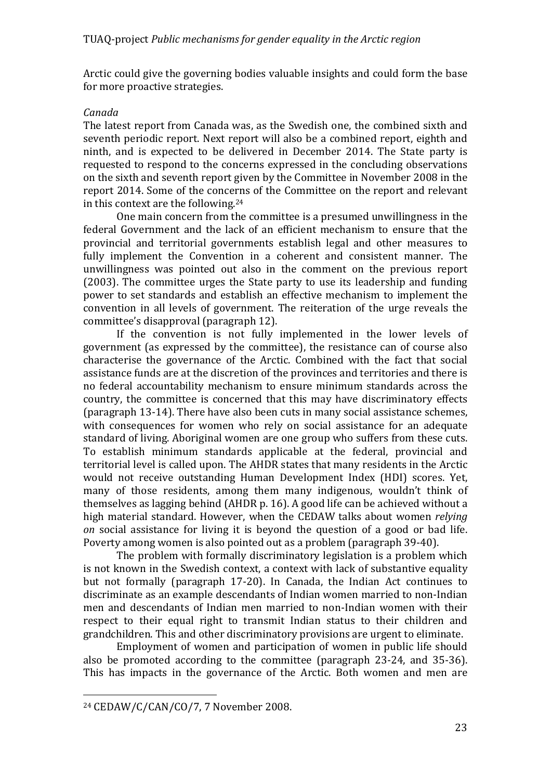Arctic could give the governing bodies valuable insights and could form the base for more proactive strategies.

## *Canada*

The latest report from Canada was, as the Swedish one, the combined sixth and seventh periodic report. Next report will also be a combined report, eighth and ninth, and is expected to be delivered in December 2014. The State party is requested to respond to the concerns expressed in the concluding observations on the sixth and seventh report given by the Committee in November 2008 in the report 2014. Some of the concerns of the Committee on the report and relevant in this context are the following.<sup>24</sup>

One main concern from the committee is a presumed unwillingness in the federal Government and the lack of an efficient mechanism to ensure that the provincial and territorial governments establish legal and other measures to fully implement the Convention in a coherent and consistent manner. The unwillingness was pointed out also in the comment on the previous report  $(2003)$ . The committee urges the State party to use its leadership and funding power to set standards and establish an effective mechanism to implement the convention in all levels of government. The reiteration of the urge reveals the committee's disapproval (paragraph 12).

If the convention is not fully implemented in the lower levels of government (as expressed by the committee), the resistance can of course also characterise the governance of the Arctic. Combined with the fact that social assistance funds are at the discretion of the provinces and territories and there is no federal accountability mechanism to ensure minimum standards across the country, the committee is concerned that this may have discriminatory effects (paragraph 13-14). There have also been cuts in many social assistance schemes, with consequences for women who rely on social assistance for an adequate standard of living. Aboriginal women are one group who suffers from these cuts. To establish minimum standards applicable at the federal, provincial and territorial level is called upon. The AHDR states that many residents in the Arctic would not receive outstanding Human Development Index (HDI) scores. Yet, many of those residents, among them many indigenous, wouldn't think of themselves as lagging behind  $(AHDR p. 16)$ . A good life can be achieved without a high material standard. However, when the CEDAW talks about women *relying on* social assistance for living it is beyond the question of a good or bad life. Poverty among women is also pointed out as a problem (paragraph 39-40).

The problem with formally discriminatory legislation is a problem which is not known in the Swedish context, a context with lack of substantive equality but not formally (paragraph 17-20). In Canada, the Indian Act continues to discriminate as an example descendants of Indian women married to non-Indian men and descendants of Indian men married to non-Indian women with their respect to their equal right to transmit Indian status to their children and grandchildren. This and other discriminatory provisions are urgent to eliminate.

Employment of women and participation of women in public life should also be promoted according to the committee (paragraph  $23-24$ , and  $35-36$ ). This has impacts in the governance of the Arctic. Both women and men are

 $24$  CEDAW/C/CAN/CO/7, 7 November 2008.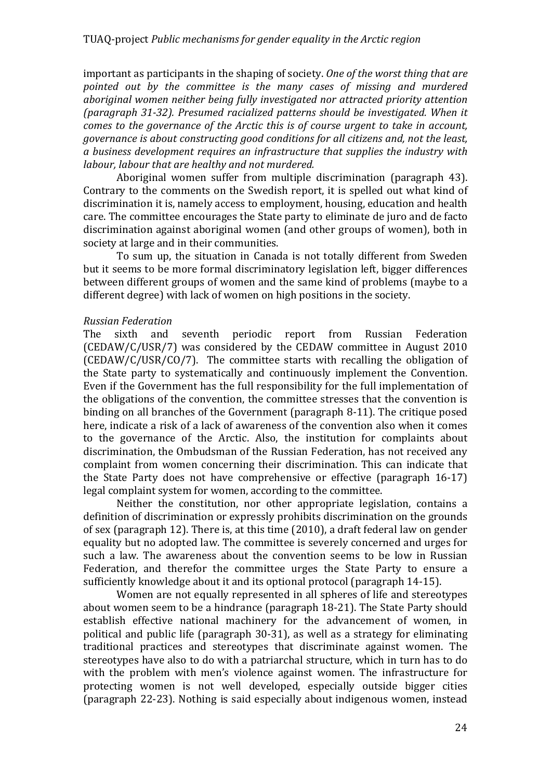important as participants in the shaping of society. One of the worst thing that are pointed out by the committee is the many cases of missing and murdered aboriginal women neither being fully investigated nor attracted priority attention *(paragraph 31-32). Presumed racialized patterns should be investigated. When it comes to the governance of the Arctic this is of course urgent to take in account, governance is about constructing good conditions for all citizens and, not the least, a business development requires an infrastructure that supplies the industry with labour, labour that are healthy and not murdered.* 

Aboriginal women suffer from multiple discrimination (paragraph 43). Contrary to the comments on the Swedish report, it is spelled out what kind of discrimination it is, namely access to employment, housing, education and health care. The committee encourages the State party to eliminate de juro and de facto discrimination against aboriginal women (and other groups of women), both in society at large and in their communities.

To sum up, the situation in Canada is not totally different from Sweden but it seems to be more formal discriminatory legislation left, bigger differences between different groups of women and the same kind of problems (maybe to a different degree) with lack of women on high positions in the society.

#### *Russian Federation*

The sixth and seventh periodic report from Russian Federation  $(CEDAW/C/USR/7)$  was considered by the CEDAW committee in August 2010  $(CEDAW/C/USR/CO/7)$ . The committee starts with recalling the obligation of the State party to systematically and continuously implement the Convention. Even if the Government has the full responsibility for the full implementation of the obligations of the convention, the committee stresses that the convention is binding on all branches of the Government (paragraph 8-11). The critique posed here, indicate a risk of a lack of awareness of the convention also when it comes to the governance of the Arctic. Also, the institution for complaints about discrimination, the Ombudsman of the Russian Federation, has not received any complaint from women concerning their discrimination. This can indicate that the State Party does not have comprehensive or effective (paragraph  $16-17$ ) legal complaint system for women, according to the committee.

Neither the constitution, nor other appropriate legislation, contains a definition of discrimination or expressly prohibits discrimination on the grounds of sex (paragraph 12). There is, at this time  $(2010)$ , a draft federal law on gender equality but no adopted law. The committee is severely concerned and urges for such a law. The awareness about the convention seems to be low in Russian Federation, and therefor the committee urges the State Party to ensure a sufficiently knowledge about it and its optional protocol (paragraph 14-15).

Women are not equally represented in all spheres of life and stereotypes about women seem to be a hindrance (paragraph 18-21). The State Party should establish effective national machinery for the advancement of women, in political and public life (paragraph 30-31), as well as a strategy for eliminating traditional practices and stereotypes that discriminate against women. The stereotypes have also to do with a patriarchal structure, which in turn has to do with the problem with men's violence against women. The infrastructure for protecting women is not well developed, especially outside bigger cities (paragraph 22-23). Nothing is said especially about indigenous women, instead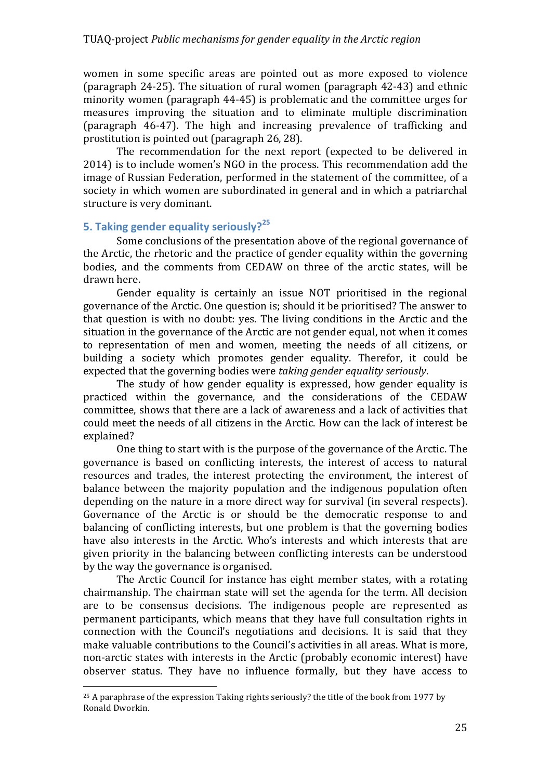women in some specific areas are pointed out as more exposed to violence (paragraph  $24-25$ ). The situation of rural women (paragraph  $42-43$ ) and ethnic minority women (paragraph 44-45) is problematic and the committee urges for measures improving the situation and to eliminate multiple discrimination (paragraph 46-47). The high and increasing prevalence of trafficking and prostitution is pointed out (paragraph 26, 28).

The recommendation for the next report (expected to be delivered in 2014) is to include women's NGO in the process. This recommendation add the image of Russian Federation, performed in the statement of the committee, of a society in which women are subordinated in general and in which a patriarchal structure is very dominant.

# **5.** Taking gender equality seriously?<sup>25</sup>

 

Some conclusions of the presentation above of the regional governance of the Arctic, the rhetoric and the practice of gender equality within the governing bodies, and the comments from CEDAW on three of the arctic states, will be drawn here.

Gender equality is certainly an issue NOT prioritised in the regional governance of the Arctic. One question is; should it be prioritised? The answer to that question is with no doubt: yes. The living conditions in the Arctic and the situation in the governance of the Arctic are not gender equal, not when it comes to representation of men and women, meeting the needs of all citizens, or building a society which promotes gender equality. Therefor, it could be expected that the governing bodies were *taking gender equality seriously*.

The study of how gender equality is expressed, how gender equality is practiced within the governance, and the considerations of the CEDAW committee, shows that there are a lack of awareness and a lack of activities that could meet the needs of all citizens in the Arctic. How can the lack of interest be explained?

One thing to start with is the purpose of the governance of the Arctic. The governance is based on conflicting interests, the interest of access to natural resources and trades, the interest protecting the environment, the interest of balance between the majority population and the indigenous population often depending on the nature in a more direct way for survival (in several respects). Governance of the Arctic is or should be the democratic response to and balancing of conflicting interests, but one problem is that the governing bodies have also interests in the Arctic. Who's interests and which interests that are given priority in the balancing between conflicting interests can be understood by the way the governance is organised.

The Arctic Council for instance has eight member states, with a rotating chairmanship. The chairman state will set the agenda for the term. All decision are to be consensus decisions. The indigenous people are represented as permanent participants, which means that they have full consultation rights in connection with the Council's negotiations and decisions. It is said that they make valuable contributions to the Council's activities in all areas. What is more, non-arctic states with interests in the Arctic (probably economic interest) have observer status. They have no influence formally, but they have access to

 $25$  A paraphrase of the expression Taking rights seriously? the title of the book from 1977 by Ronald Dworkin.